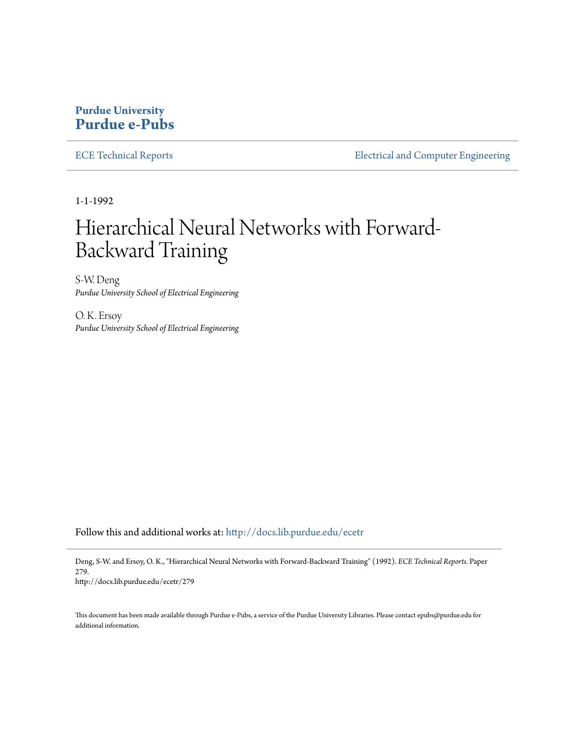# **Purdue University [Purdue e-Pubs](http://docs.lib.purdue.edu?utm_source=docs.lib.purdue.edu%2Fecetr%2F279&utm_medium=PDF&utm_campaign=PDFCoverPages)**

[ECE Technical Reports](http://docs.lib.purdue.edu/ecetr?utm_source=docs.lib.purdue.edu%2Fecetr%2F279&utm_medium=PDF&utm_campaign=PDFCoverPages) **[Electrical and Computer Engineering](http://docs.lib.purdue.edu/ece?utm_source=docs.lib.purdue.edu%2Fecetr%2F279&utm_medium=PDF&utm_campaign=PDFCoverPages)** 

1-1-1992

# Hierarchical Neural Networks with Forward-Backward Training

S-W. Deng *Purdue University School of Electrical Engineering*

O. K. Ersoy *Purdue University School of Electrical Engineering*

Follow this and additional works at: [http://docs.lib.purdue.edu/ecetr](http://docs.lib.purdue.edu/ecetr?utm_source=docs.lib.purdue.edu%2Fecetr%2F279&utm_medium=PDF&utm_campaign=PDFCoverPages)

Deng, S-W. and Ersoy, O. K., "Hierarchical Neural Networks with Forward-Backward Training" (1992). *ECE Technical Reports.* Paper 279. http://docs.lib.purdue.edu/ecetr/279

This document has been made available through Purdue e-Pubs, a service of the Purdue University Libraries. Please contact epubs@purdue.edu for additional information.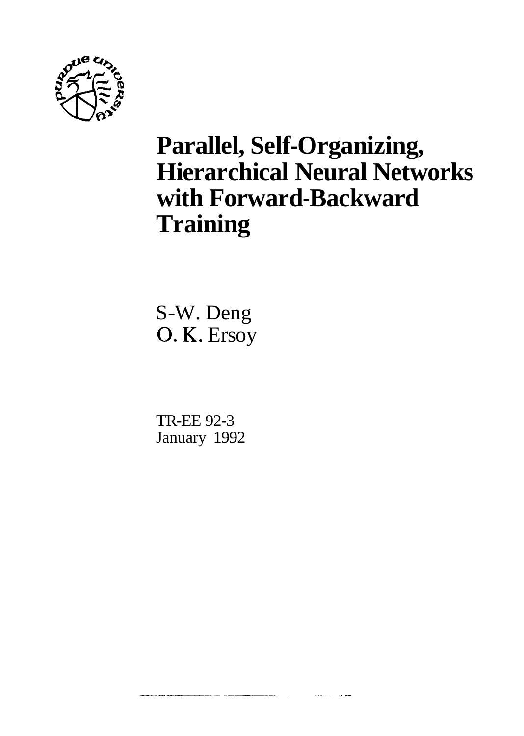

# **Parallel, Self-Organizing, Hierarchical Neural Networks with Forward-Backward Training**

S-W. Deng O. K. Ersoy

TR-EE 92-3 January 1992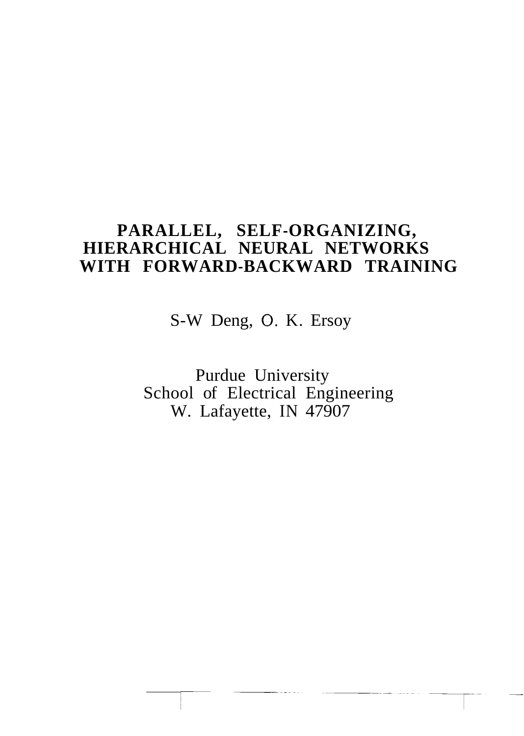# **PARALLEL, SELF-ORGANIZING, HIERARCHICAL NEURAL NETWORKS WITH FORWARD-BACKWARD TRAINING**

S-W Deng, 0. K. Ersoy

Purdue University School of Electrical Engineering W. Lafayette, IN 47907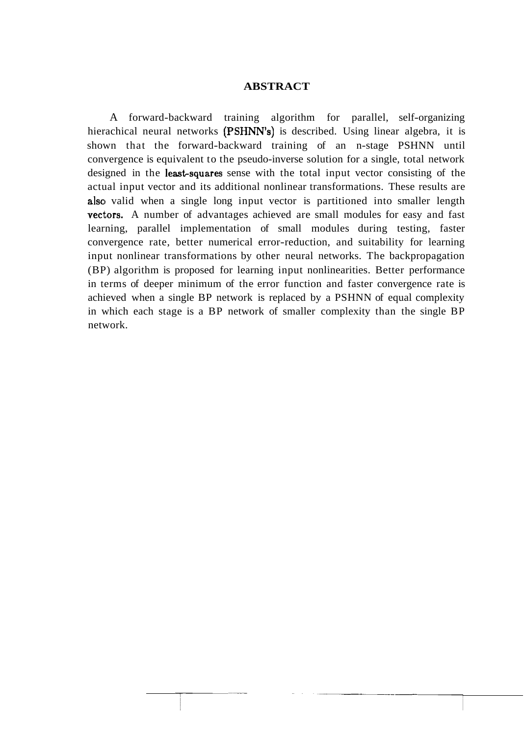#### **ABSTRACT**

A forward-backward training algorithm for parallel, self-organizing hierachical neural networks (PSHNN's) is described. Using linear algebra, it is shown that the forward-backward training of an n-stage PSHNN until convergence is equivalent to the pseudo-inverse solution for a single, total network designed in the **least-squares** sense with the total input vector consisting of the actual input vector and its additional nonlinear transformations. These results are also valid when a single long input vector is partitioned into smaller length vectors. A number of advantages achieved are small modules for easy and fast learning, parallel implementation of small modules during testing, faster convergence rate, better numerical error-reduction, and suitability for learning input nonlinear transformations by other neural networks. The backpropagation (BP) algorithm is proposed for learning input nonlinearities. Better performance in terms of deeper minimum of the error function and faster convergence rate is achieved when a single BP network is replaced by a PSHNN of equal complexity in which each stage is a BP network of smaller complexity than the single BP network.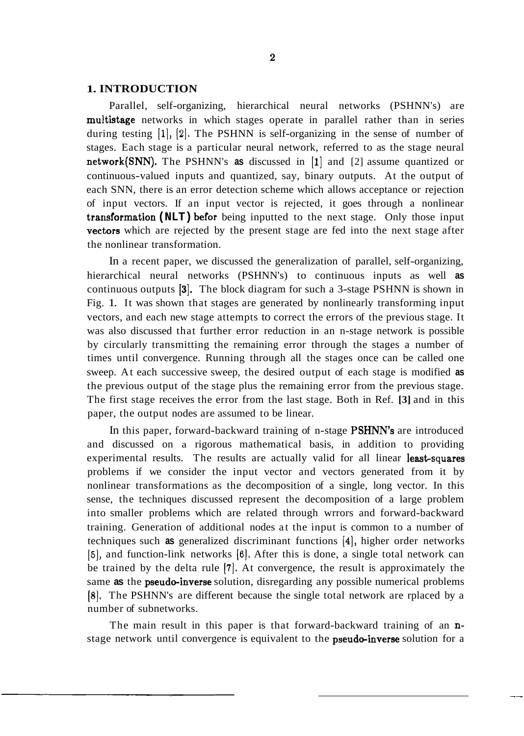#### **1. INTRODUCTION**

Parallel, self-organizing, hierarchical neural networks (PSHNN's) are multistage networks in which stages operate in parallel rather than in series during testing **[I], [2].** The PSHNN is self-organizing in the sense of number of stages. Each stage is a particular neural network, referred to as the stage neural network(SNN). The PSHNN's **as** discussed in **[I]** and [2] assume quantized or continuous-valued inputs and quantized, say, binary outputs. At the output of each SNN, there is an error detection scheme which allows acceptance or rejection of input vectors. If an input vector is rejected, it goes through a nonlinear transformation (NLT) befor being inputted to the next stage. Only those input vectors which are rejected by the present stage are fed into the next stage after the nonlinear transformation.

In a recent paper, we discussed the generalization of parallel, self-organizing, hierarchical neural networks (PSHNN's) to continuous inputs as well **as**  continuous outputs **131.** The block diagram for such a 3-stage PSHNN is shown in Fig. 1. It was shown that stages are generated by nonlinearly transforming input vectors, and each new stage attempts to correct the errors of the previous stage. It was also discussed that further error reduction in an n-stage network is possible by circularly transmitting the remaining error through the stages a number of times until convergence. Running through all the stages once can be called one sweep. At each successive sweep, the desired output of each stage is modified **as**  the previous output of the stage plus the remaining error from the previous stage. The first stage receives the error from the last stage. Both in Ref. **[3]** and in this paper, the output nodes are assumed to be linear.

In this paper, forward-backward training of n-stage PSHNN's are introduced and discussed on a rigorous mathematical basis, in addition to providing experimental results. The results are actually valid for all linear least-squares problems if we consider the input vector and vectors generated from it by nonlinear transformations as the decomposition of a single, long vector. In this sense, the techniques discussed represent the decomposition of a large problem into smaller problems which are related through wrrors and forward-backward training. Generation of additional nodes at the input is common to a number of techniques such **as** generalized discriminant functions **[4],** higher order networks **[5],** and function-link networks **(61.** After this is done, a single total network can be trained by the delta rule **[7].** At convergence, the result is approximately the same as the **pseudo-inverse** solution, disregarding any possible numerical problems **[8].** The PSHNN's are different because the single total network are rplaced by a number of subnetworks.

The main result in this paper is that forward-backward training of an **n**stage network until convergence is equivalent to the **pseudo-inverse** solution for a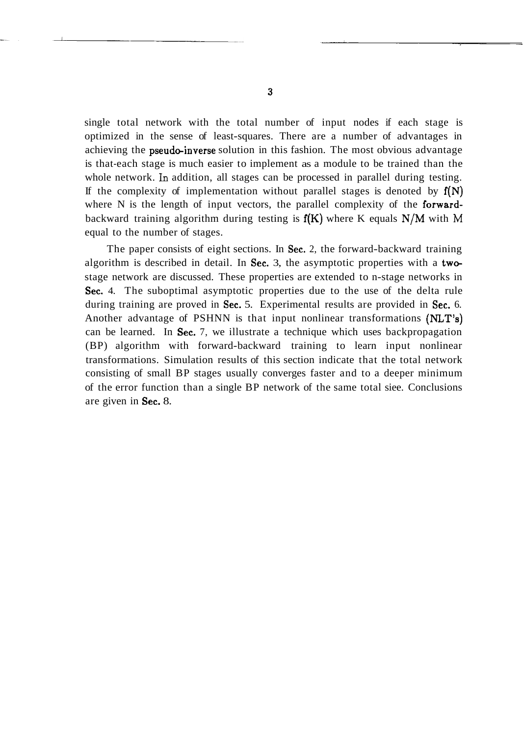single total network with the total number of input nodes if each stage is optimized in the sense of least-squares. There are a number of advantages in achieving the **pseudo-inverse** solution in this fashion. The most obvious advantage is that-each stage is much easier to implement as a module to be trained than the whole network. **Ln** addition, all stages can be processed in parallel during testing. If the complexity of implementation without parallel stages is denoted by  $f(N)$ where N is the length of input vectors, the parallel complexity of the forwardbackward training algorithm during testing is  $f(K)$  where K equals  $N/M$  with M equal to the number of stages.

The paper consists of eight sections. In Sec. 2, the forward-backward training algorithm is described in detail. In Sec. 3, the asymptotic properties with a twe stage network are discussed. These properties are extended to n-stage networks in Sec. 4. The suboptimal asymptotic properties due to the use of the delta rule during training are proved in Sec. 5. Experimental results are provided in Sec. 6. Another advantage of PSHNN is that input nonlinear transformations (NLT's) can be learned. In Sec. 7, we illustrate a technique which uses backpropagation (BP) algorithm with forward-backward training to learn input nonlinear transformations. Simulation results of this section indicate that the total network consisting of small BP stages usually converges faster and to a deeper minimum of the error function than a single BP network of the same total siee. Conclusions are given in Sec. 8.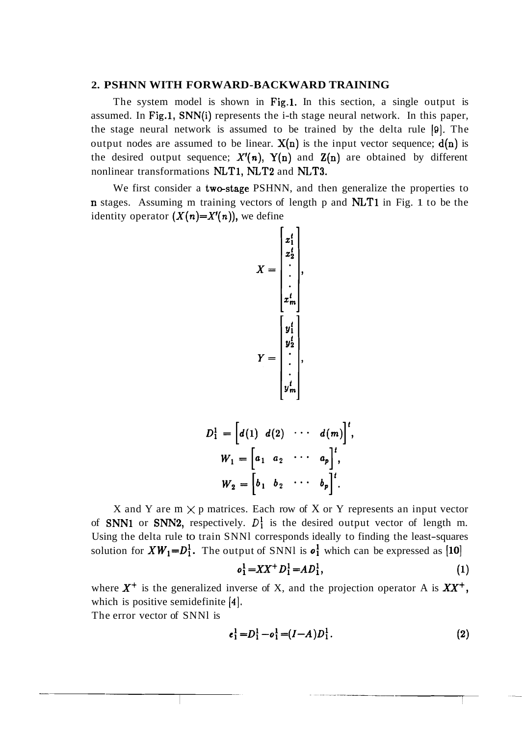#### **2. PSHNN WITH FORWARD-BACKWARD TRAINING**

The system model is shown in Fig.1. In this section, a single output is assumed. In Fig.1, SNN(i) represents the i-th stage neural network. In this paper, the stage neural network is assumed to be trained by the delta rule **[Q].** The output nodes are assumed to be linear.  $X(n)$  is the input vector sequence;  $d(n)$  is the desired output sequence;  $X'(n)$ ,  $Y(n)$  and  $Z(n)$  are obtained by different nonlinear transformations NLT1, NLT2 and NLT3.

We first consider a two-stage PSHNN, and then generalize the properties to **n** stages. Assuming m training vectors of length p and **NLT1** in Fig. 1 to be the identity operator  $(X(n)=X'(n))$ , we define

$$
X = \begin{bmatrix} x_1^t \\ x_2^t \\ \vdots \\ x_m^t \\ \vdots \\ x_m^t \end{bmatrix},
$$

$$
Y = \begin{bmatrix} y_1^t \\ y_2^t \\ \vdots \\ y_m^t \end{bmatrix},
$$

$$
D_1^1 = \left[d(1) d(2) \cdots d(m)\right]^t,
$$
  
\n
$$
W_1 = \left[a_1 a_2 \cdots a_p\right]^t,
$$
  
\n
$$
W_2 = \left[b_1 b_2 \cdots b_p\right]^t.
$$

X and Y are  $m \times p$  matrices. Each row of X or Y represents an input vector of **SNN1** or **SNN2**, respectively.  $D_1^1$  is the desired output vector of length m. Using the delta rule to train SNNl corresponds ideally to finding the least-squares solution for  $XW_1 = D_1^1$ . The output of SNNl is  $o_1^1$  which can be expressed as [10]

$$
o_1^1 = XX^+ D_1^1 = AD_1^1,\tag{1}
$$

where  $X^+$  is the generalized inverse of X, and the projection operator A is  $XX^+$ , which is positive semidefinite **[4].** 

The error vector of SNNl is

$$
e_1^1 = D_1^1 - o_1^1 = (I - A)D_1^1.
$$
 (2)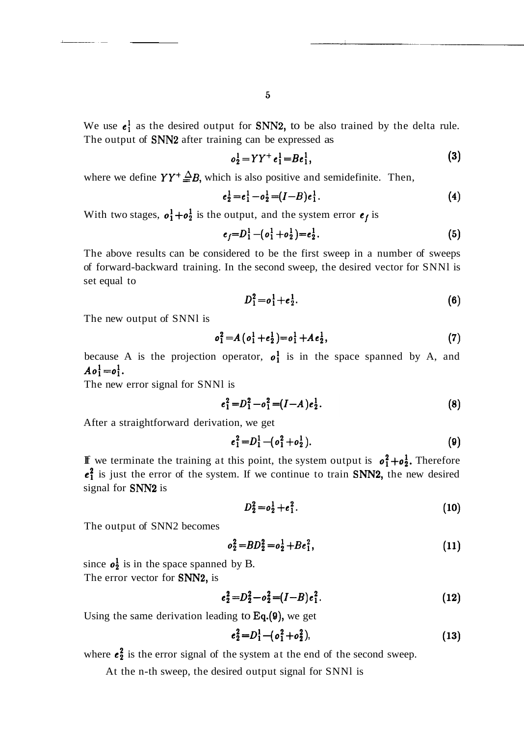We use  $e_1^1$  as the desired output for SNN2, to be also trained by the delta rule. The output of SNN2 after training can be expressed as

$$
o_2^1 = YY^+ e_1^1 = Be_1^1,
$$
 (3)

where we define  $YY^+\triangleq B$ , which is also positive and semidefinite. Then,

$$
e_2^1 = e_1^1 - o_2^1 = (I - B)e_1^1.
$$
 (4)

With two stages,  $o_1^1 + o_2^1$  is the output, and the system error  $e_f$  is

$$
e_f = D_1^1 - (o_1^1 + o_2^1) = e_2^1. \tag{5}
$$

The above results can be considered to be the first sweep in a number of sweeps of forward-backward training. In the second sweep, the desired vector for SNNl is set equal to

$$
D_1^2 = o_1^1 + e_2^1. \tag{6}
$$

The new output of SNNl is

$$
o_1^2 = A\left(o_1^1 + e_2^1\right) = o_1^1 + Ae_2^1,\tag{7}
$$

because A is the projection operator,  $o_1^1$  is in the space spanned by A, and  $A\mathbf{o}_1^1 = \mathbf{o}_1^1$ .

The new error signal for SNNl is

$$
e_1^2 = D_1^2 - o_1^2 = (I - A)e_2^1.
$$
 (8)

After a straightforward derivation, we get

$$
e_1^2 = D_1^1 - (o_1^2 + o_2^1). \tag{9}
$$

If we terminate the training at this point, the system output is  $o_1^2 + o_2^1$ . Therefore  $e_1^2$  is just the error of the system. If we continue to train SNN2, the new desired signal for SNN2 is

$$
D_2^2 = o_2^1 + e_1^2. \tag{10}
$$

The output of SNN2 becomes

$$
o_2^2 = BD_2^2 = o_2^1 + Be_1^2, \tag{11}
$$

since  $o_2^1$  is in the space spanned by B. The error vector for **SNN2**, is

$$
e_2^2 = D_2^2 - o_2^2 = (I - B)e_1^2.
$$
 (12)

Using the same derivation leading to  $Eq.(9)$ , we get

$$
e_2^2 = D_1^1 - (o_1^2 + o_2^2), \tag{13}
$$

where  $e_2^2$  is the error signal of the system at the end of the second sweep.

At the n-th sweep, the desired output signal for SNNl is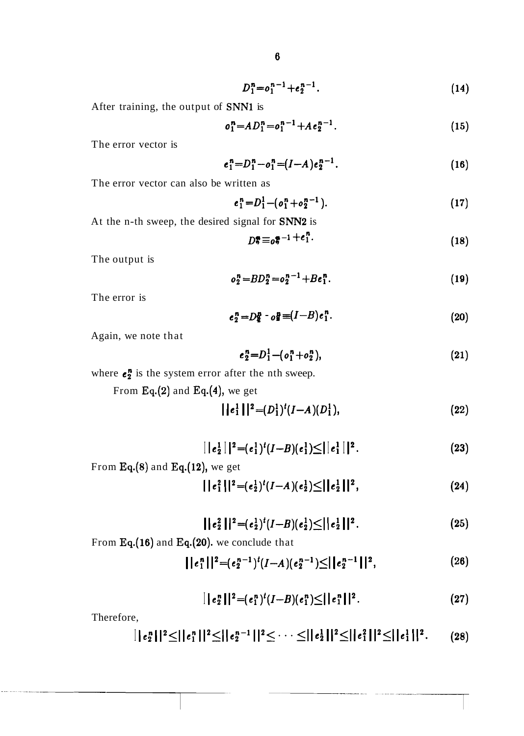$$
D_1^n = o_1^{n-1} + e_2^{n-1}.
$$
 (14)

After training, the output of SNN1 is

$$
o_1^n = AD_1^n = o_1^{n-1} + Ae_2^{n-1}.
$$
 (15)

The error vector is

$$
e_1^n = D_1^n - o_1^n = (I - A)e_2^{n-1}.
$$
\n(16)

The error vector can also be written as

$$
e_1^n = D_1^1 - (o_1^n + o_2^{n-1}). \tag{17}
$$

At the n-th sweep, the desired signal for SNN2 is

$$
D_2^{\bullet} \equiv_0 \xi^{-1} + e_1^n. \tag{18}
$$

The output is

$$
o_2^n = BD_2^n = o_2^{n-1} + Be_1^n. \tag{19}
$$

The error is

$$
e_2^n = D_{\mathbf{S}}^n - o_{\mathbf{S}}^n = (I - B) e_1^n.
$$
 (20)

Again, we note that

$$
e_2^n = D_1^1 - (o_1^n + o_2^n), \tag{21}
$$

where  $e_2^n$  is the system error after the nth sweep.

From Eq.(2) and Eq.(4), we get

$$
||e_1^1||^2 = (D_1^1)^t (I - A)(D_1^1), \qquad (22)
$$

$$
|\,|e_2^1\,|\,|^2 = (e_1^1)^t(I-B)(e_1^1) \leq |\,|e_1^1\,|\,|^2. \tag{23}
$$

From Eq. 
$$
(8)
$$
 and Eq.  $(12)$ , we get

$$
||e_1^2||^2 = (e_2^1)^t (I - A)(e_2^1) \leq ||e_2^1||^2, \qquad (24)
$$

$$
||e_2^2||^2 = (e_2^1)^t(I-B)(e_2^1) \leq ||e_2^1||^2.
$$
 (25)

From Eq.(16) and Eq.(20). we conclude that

$$
||e_1^n||^2 = (e_2^{n-1})^t(I-A)(e_2^{n-1}) \leq ||e_2^{n-1}||^2,
$$
\n(26)

$$
|\,|e_2^n\,||^2 = (e_1^n)^t (I-B)(e_1^n) \leq |\,|e_1^n\,||^2. \tag{27}
$$

Therefore,

$$
||e_2^n||^2 \leq ||e_1^n||^2 \leq ||e_2^{n-1}||^2 \leq \cdots \leq ||e_2^1||^2 \leq ||e_1^2||^2 \leq ||e_1^1||^2. \qquad (28)
$$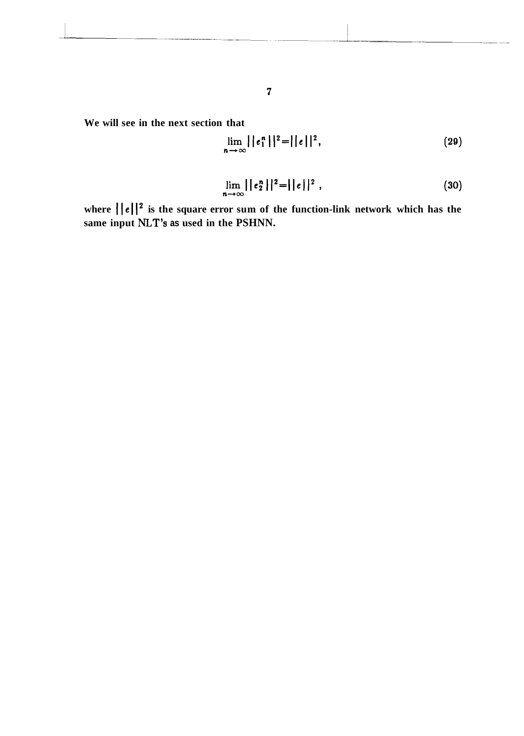**We will see in the next section that** 

$$
\lim_{n \to \infty} ||e_1^n||^2 = ||e||^2, \tag{29}
$$

$$
\lim_{n \to \infty} ||e_2^n||^2 = ||e||^2 , \qquad (30)
$$

where  $\left\{|\mathbf{e}|\right\}^2$  is the square error sum of the function-link network which has the **same input NLT's as used in the PSHNN.**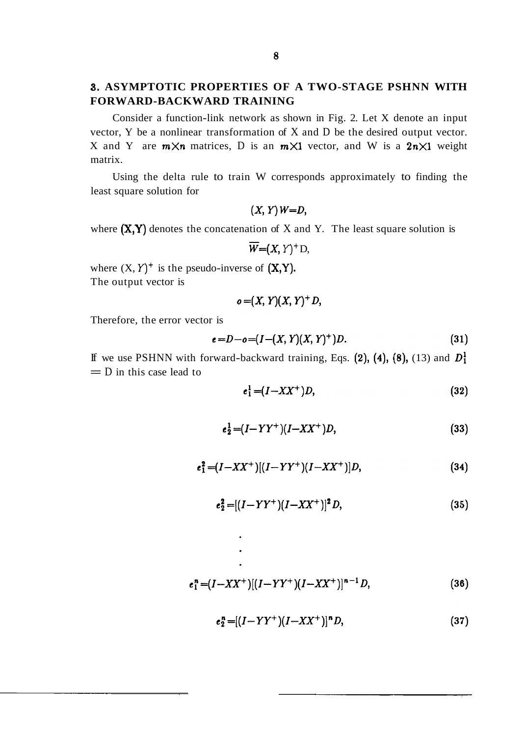## **3. ASYMPTOTIC PROPERTIES OF A TWO-STAGE PSHNN WITH FORWARD-BACKWARD TRAINING**

Consider a function-link network as shown in Fig. 2. Let X denote an input vector, Y be a nonlinear transformation of X and D be the desired output vector. X and Y are  $m \times n$  matrices, D is an  $m \times 1$  vector, and W is a  $2n \times 1$  weight matrix.

Using the delta rule to train W corresponds approximately to finding the least square solution for

$$
(X, Y)W = D,
$$

where  $(X, Y)$  denotes the concatenation of X and Y. The least square solution is

$$
\overline{W}=(X, Y)^+D,
$$

where  $(X, Y)^+$  is the pseudo-inverse of  $(X, Y)$ . The output vector is

$$
o = (X, Y)(X, Y)^+ D,
$$

Therefore, the error vector is

$$
e = D - o = (I - (X, Y)(X, Y)^+)D.
$$
\n(31)

If we use PSHNN with forward-backward training, Eqs.  $(2)$ ,  $(4)$ ,  $(8)$ ,  $(13)$  and  $D_1^1$  $=$  D in this case lead to

$$
e_1^1 = (I - XX^+)D,\tag{32}
$$

$$
e_2^1 = (I - YY^+) (I - XX^+) D, \tag{33}
$$

$$
e_1^2 = (I - XX^+)[(I - YY^+)(I - XX^+)]D, \tag{34}
$$

$$
e_2^2 = [(I - YY^+)(I - XX^+)]^2 D, \tag{35}
$$

$$
e_1^n = (I - XX^+)[(I - YY^+)(I - XX^+)]^{n-1}D, \tag{36}
$$

$$
e_2^n = [(I - YY^+)(I - XX^+)]^n D, \tag{37}
$$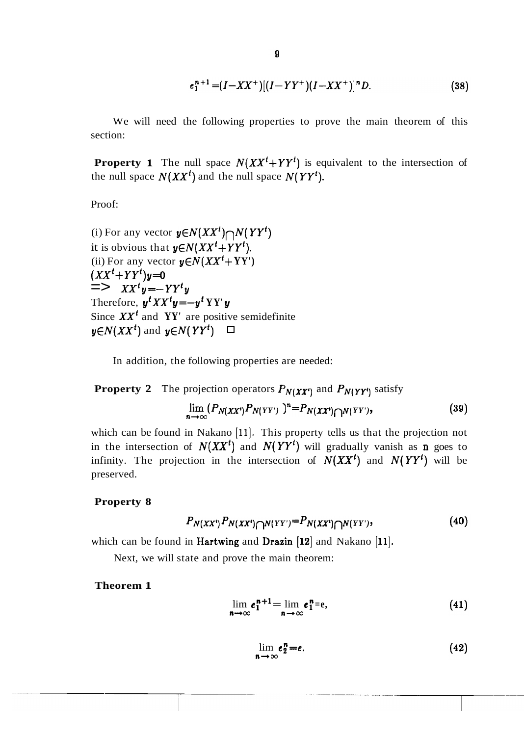$$
e_1^{n+1} = (I - XX^+)[(I - YY^+)(I - XX^+)]^n D. \tag{38}
$$

We will need the following properties to prove the main theorem of this section:

**Property 1** The null space  $N(XX^t+YY^t)$  is equivalent to the intersection of the null space  $N(XX<sup>t</sup>)$  and the null space  $N(YY<sup>t</sup>)$ .

Proof:

(i) For any vector  $y \in N(XX^t) \cap N(YY^t)$ it is obvious that  $y \in N(XX^t+YY^t)$ . (ii) For any vector  $y \in N(XX^t + YY')$  $(XX^{t}+YY^{t})y=0$  $\stackrel{\cdot}{\equiv}>> XX^{t}y=-YY^{t}y$ Therefore,  $\mathbf{y}^t XX^t \mathbf{y} = -\mathbf{y}^t YY \mathbf{y}$ Since  $XX<sup>t</sup>$  and  $YY'$  are positive semidefinite  $y \in N(XX^t)$  and  $y \in N(YY^t)$   $\Box$ 

In addition, the following properties are needed:

**Property 2** The projection operators 
$$
P_{N(XX^t)}
$$
 and  $P_{N(YY^t)}$  satisfy  
\n
$$
\lim_{n \to \infty} (P_{N(XX^t)} P_{N(YY^t)})^n = P_{N(XX^t) \cap N(YY^t)},
$$
\n(39)

which can be found in Nakano [11]. This property tells us that the projection not in the intersection of  $N(XX<sup>t</sup>)$  and  $N(YY<sup>t</sup>)$  will gradually vanish as **n** goes to infinity. The projection in the intersection of  $N(XX<sup>t</sup>)$  and  $N(YY<sup>t</sup>)$  will be preserved.

#### **Property 8**

$$
P_{N(XX^t)}P_{N(XX^t)\bigcap N(YY')}=P_{N(XX^t)\bigcap N(YY')},\qquad \qquad (40)
$$

which can be found in Hartwing and Drazin **[12]** and Nakano **[ll].** 

Next, we will state and prove the main theorem:

**Theorem 1** 

$$
\lim_{n \to \infty} e_1^{n+1} = \lim_{n \to \infty} e_1^n = e,
$$
\n(41)

$$
\lim_{n \to \infty} e_2^n = e. \tag{42}
$$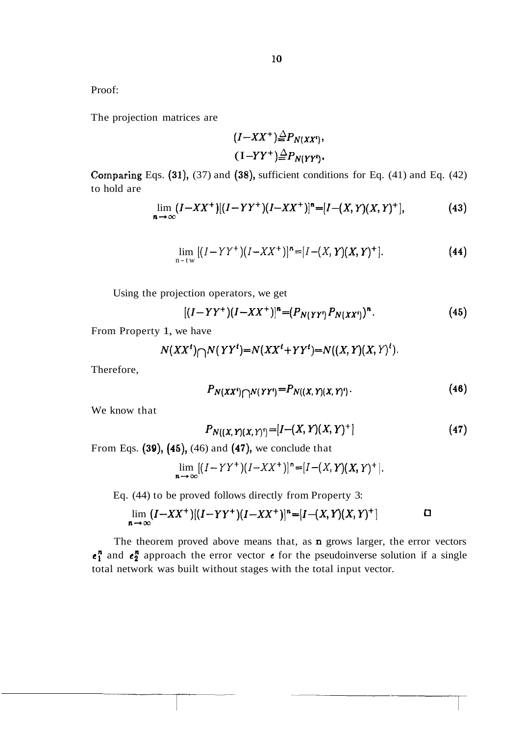Proof:

The projection matrices are

$$
(I - XX^+) \stackrel{\triangle}{=} P_{N(XX^t)},
$$
  

$$
(I - YY^+) \stackrel{\triangle}{=} P_{N(YY^t)}.
$$

Comparing Eqs.  $(31)$ ,  $(37)$  and  $(38)$ , sufficient conditions for Eq.  $(41)$  and Eq.  $(42)$ to hold are

$$
\lim_{n \to \infty} (I - XX^+)[(I - YY^+)(I - XX^+)]^n = [I - (X, Y)(X, Y)^+],
$$
\n(43)

$$
\lim_{n-tw} [(I-YY^+)(I-XX^+)]^n = [I-(X,Y)(X,Y)^+].
$$
\n(44)

Using the projection operators, we get

$$
[(I-YY^+)(I-XX^+)]^n = (P_{N(YY^t)}P_{N(XX^t)})^n.
$$
\n(45)

From Property 1, we have

$$
N(XXt) \bigcap N(YYt) = N(XXt + YYt) = N((X, Y)(X, Y)t).
$$

Therefore,

$$
P_{N(XX^t)\bigcap N(YY^t)}=P_{N((X,Y)(X,Y^t))}.
$$
\n(46)

We know that

$$
P_{N((X, Y)(X, Y))} = [I - (X, Y)(X, Y)^{+}] \tag{47}
$$

From Eqs.  $(39)$ ,  $(45)$ ,  $(46)$  and  $(47)$ , we conclude that

$$
\lim_{n \to \infty} [(I - YY^{+})(I - XX^{+})]^{n} = [I - (X, Y)(X, Y)^{+}].
$$

Eq. (44) to be proved follows directly from Property 3:

$$
\lim_{n \to \infty} (I - XX^+)[(I - YY^+)(I - XX^+)]^n = [I - (X, Y)(X, Y)^+]
$$

The theorem proved above means that, as **n** grows larger, the error vectors  $e_1^n$  and  $e_2^n$  approach the error vector  $e$  for the pseudoinverse solution if a single total network was built without stages with the total input vector.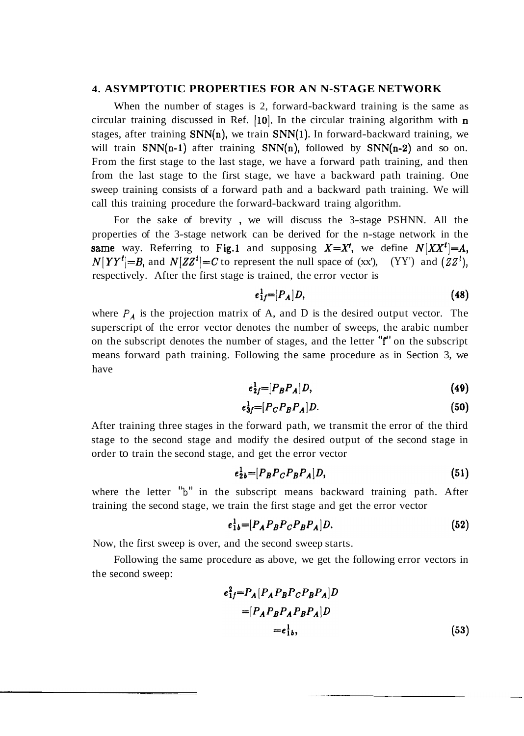#### **4. ASYMPTOTIC PROPERTIES FOR AN N-STAGE NETWORK**

When the number of stages is 2, forward-backward training is the same as circular training discussed in Ref.  $[10]$ . In the circular training algorithm with  $n$ stages, after training  $SNN(n)$ , we train  $SNN(1)$ . In forward-backward training, we will train  $SNN(n-1)$  after training  $SNN(n)$ , followed by  $SNN(n-2)$  and so on. From the first stage to the last stage, we have a forward path training, and then from the last stage to the first stage, we have a backward path training. One sweep training consists of a forward path and a backward path training. We will call this training procedure the forward-backward traing algorithm.

For the sake of brevity , we will discuss the 3-stage PSHNN. All the properties of the 3-stage network can be derived for the n-stage network in the same way. Referring to Fig.1 and supposing  $X=X'$ , we define  $N|XX'|=A$ ,  $N[YY^t]=B$ , and  $N[ZZ^t]=C$  to represent the null space of (xx'), (YY') and  $(ZZ^t)$ , respectively. After the first stage is trained, the error vector is

$$
e_{1f}^{1}=[P_{A}|D,\tag{48}
$$

where  $P_A$  is the projection matrix of A, and D is the desired output vector. The superscript of the error vector denotes the number of sweeps, the arabic number on the subscript denotes the number of stages, and the letter **"f"** on the subscript means forward path training. Following the same procedure as in Section 3, we have

$$
e_{2f}^1=[P_B P_A]D,\t\t(49)
$$

$$
e^1_{3f} = [P_C P_B P_A] D. \tag{50}
$$

After training three stages in the forward path, we transmit the error of the third stage to the second stage and modify the desired output of the second stage in order to train the second stage, and get the error vector

$$
e_{2b}^1=[P_B P_C P_B P_A]D, \qquad (51)
$$

where the letter "b" in the subscript means backward training path. After training the second stage, we train the first stage and get the error vector

$$
e_{1b}^1=[P_A P_B P_C P_B P_A]D. \tag{52}
$$

Now, the first sweep is over, and the second sweep starts.

Following the same procedure as above, we get the following error vectors in the second sweep:

$$
e_1^2 f = P_A [P_A P_B P_C P_B P_A] D
$$
  
= 
$$
[P_A P_B P_A P_B P_A] D
$$
  
= 
$$
e_1^1{}_b,
$$
 (53)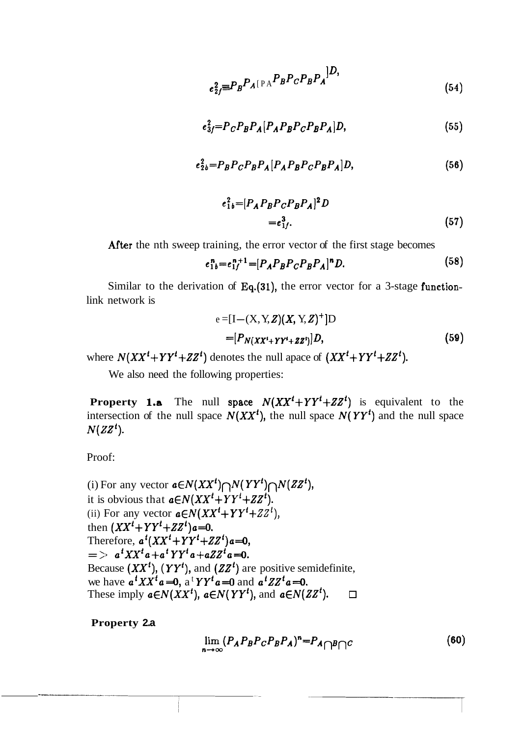$$
e_{2f}^2 \equiv P_B P_A [\text{PA}^B A_B^B C P_B P_A]^{\text{}} \tag{54}
$$

$$
e_3^2 = P_C P_B P_A [P_A P_B P_C P_B P_A] D, \qquad (55)
$$

$$
e2b2 = PB PC PB PA [PA PB PC PB PA] D,
$$
 (56)

$$
e_{1b}^{2} = [P_{A} P_{B} P_{C} P_{B} P_{A}]^{2} D
$$
  
=  $e_{1f}^{3}$ . (57)

After the nth sweep training, the error vector of the first stage becomes

$$
e_{1b}^{n} = e_{1f}^{n+1} = [P_A P_B P_C P_B P_A]^{n} D. \tag{58}
$$

Similar to the derivation of Eq.(31), the error vector for a 3-stage functionlink network is

$$
e = [I - (X, Y, Z)(X, Y, Z)^{+}]D
$$
  
=  $[P_{N(XX^{t} + YY^{t} + ZZ^{t})}]D,$  (59)

where  $N(XX^{t}+YY^{t}+ZZ^{t})$  denotes the null apace of  $(XX^{t}+YY^{t}+ZZ^{t})$ .

We also need the following properties:

**Property 1.a** The null space  $N(XX^t+YY^t+ZZ^t)$  is equivalent to the intersection of the null space  $N(XX<sup>t</sup>)$ , the null space  $N(YY<sup>t</sup>)$  and the null space  $N(ZZ<sup>t</sup>).$ 

Proof:

(i) For any vector  $a \in N(XX^t) \cap N(YY^t) \cap N(ZZ^t)$ , it is obvious that  $a \in N(XX^t+YY^t+ZZ^t)$ . (ii) For any vector  $a \in N(XX^t+YY^t+ZZ^t)$ , then  $(XX^{t} + YY^{t} + ZZ^{t})a = 0$ . Therefore,  $a^t(XX^t+YY^t+ZZ^t)a=0$ ,  $=$  >  $a^{t}XX^{t}a+a^{t}YY^{t}a+aZZ^{t}a=0.$ Because  $(XX<sup>t</sup>)$ ,  $(YY<sup>t</sup>)$ , and  $(ZZ<sup>t</sup>)$  are positive semidefinite, we have  $a^t XX^t a = 0$ ,  $a^t YY^t a = 0$  and  $a^t ZZ^t a = 0$ . These imply  $a \in N(XX^t)$ ,  $a \in N(YY^t)$ , and  $a \in N(ZZ^t)$ .  $\Box$ 

**Property 2.a** 

$$
\lim_{n \to \infty} (P_A P_B P_C P_B P_A)^n = P_A \cap B \cap C \tag{60}
$$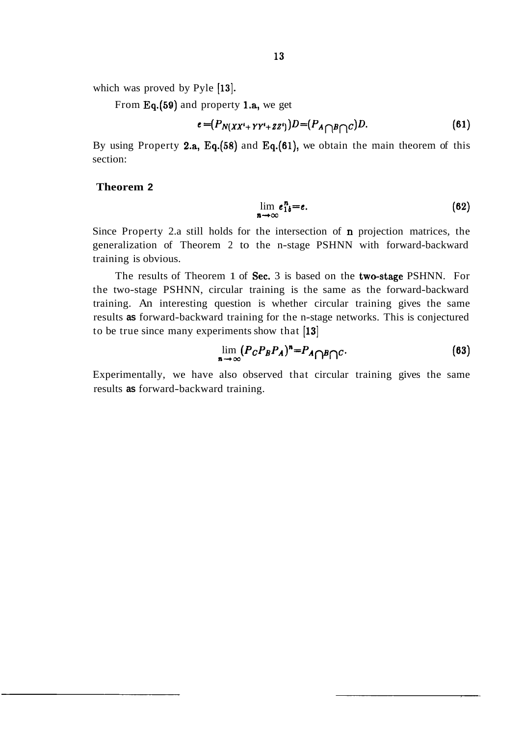which was proved by Pyle [13].

From Eq.(59) and property l.a, we get

$$
e = (P_{N(XX^i+YY^i+ZZ^i)})D = (P_{A\bigcap B\bigcap C})D. \tag{61}
$$

By using Property 2.a, Eq.(58) and Eq.(61), we obtain the main theorem of this section:

#### **Theorem 2**

$$
\lim_{n \to \infty} e_{1b}^n = e. \tag{62}
$$

Since Property 2.a still holds for the intersection of **n** projection matrices, the generalization of Theorem 2 to the n-stage PSHNN with forward-backward training is obvious.

The results of Theorem 1 of Sec. 3 is based on the two-stage PSHNN. For the two-stage PSHNN, circular training is the same as the forward-backward training. An interesting question is whether circular training gives the same results **as** forward-backward training for the n-stage networks. This is conjectured to be true since many experiments show that [13]

$$
\lim_{n \to \infty} (P_C P_B P_A)^n = P_A \cap B \cap C. \tag{63}
$$

Experimentally, we have also observed that circular training gives the same results **as** forward-backward training.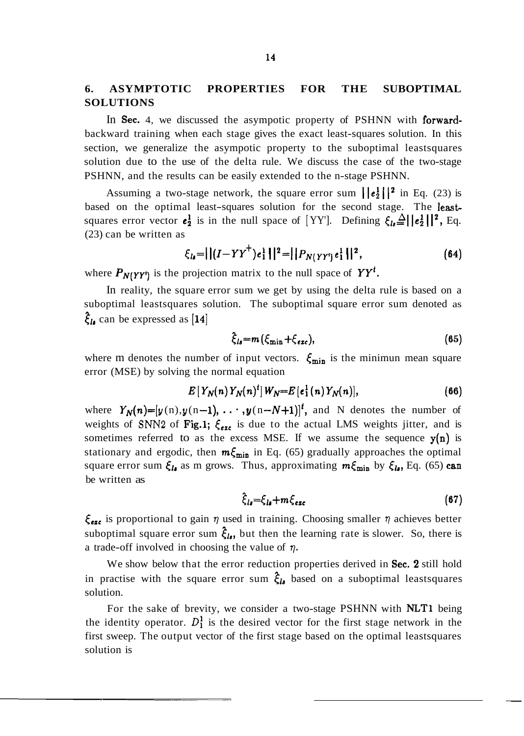### **6. ASYMPTOTIC PROPERTIES FOR THE SUBOPTIMAL SOLUTIONS**

In Sec. 4, we discussed the asympotic property of PSHNN with forwardbackward training when each stage gives the exact least-squares solution. In this section, we generalize the asympotic property to the suboptimal leastsquares solution due to the use of the delta rule. We discuss the case of the two-stage PSHNN, and the results can be easily extended to the n-stage PSHNN.

Assuming a two-stage network, the square error sum  $\|\mathbf{e}_2^1\|^2$  in Eq. (23) is based on the optimal least-squares solution for the second stage. The leastsquares error vector  $e_2^1$  is in the null space of [YY']. Defining  $\xi_{1s} \triangleq ||e_2^1||^2$ , Eq. (23) can be written as

$$
\xi_{\mathbf{I}a} = || (I - YY^+) e_1^{\perp} ||^2 = || P_{N(YY^t)} e_1^{\perp} ||^2, \tag{64}
$$

where  $P_{N(YY')}$  is the projection matrix to the null space of  $YY<sup>t</sup>$ .

In reality, the square error sum we get by using the delta rule is based on a suboptimal leastsquares solution. The suboptimal square error sum denoted as  $\xi_{\mathbf{l}\mathbf{s}}$  can be expressed as [14]

$$
\hat{\xi}_{ls} = m \left( \xi_{\min} + \xi_{\text{exc}} \right), \tag{65}
$$

where m denotes the number of input vectors.  $\xi_{\text{min}}$  is the minimun mean square error (MSE) by solving the normal equation

$$
E[Y_N(n)Y_N(n)^t]W_N=E[e_1^1(n)Y_N(n)], \qquad (66)
$$

where  $Y_N(n)=[y(n), y(n-1), \ldots, y(n-N+1)]^t$ , and N denotes the number of weights of SNN2 of Fig.1;  $\xi_{\text{exc}}$  is due to the actual LMS weights jitter, and is sometimes referred to as the excess MSE. If we assume the sequence  $y(n)$  is stationary and ergodic, then  $m\xi_{min}$  in Eq. (65) gradually approaches the optimal square error sum  $\xi_{l\bullet}$  as m grows. Thus, approximating  $m\xi_{\min}$  by  $\xi_{l\bullet}$ , Eq. (65) can be written as

$$
\hat{\xi}_{ls} = \xi_{ls} + m \xi_{exc} \tag{67}
$$

 $\xi_{\text{exc}}$  is proportional to gain  $\eta$  used in training. Choosing smaller  $\eta$  achieves better suboptimal square error sum  $\xi_{l_0}$ , but then the learning rate is slower. So, there is a trade-off involved in choosing the value of  $\eta$ .

We show below that the error reduction properties derived in Sec. 2 still hold in practise with the square error sum  $\hat{\xi}_{l\delta}$  based on a suboptimal leastsquares solution.

For the sake of brevity, we consider a two-stage PSHNN with NLT1 being the identity operator.  $D_1^1$  is the desired vector for the first stage network in the first sweep. The output vector of the first stage based on the optimal leastsquares solution is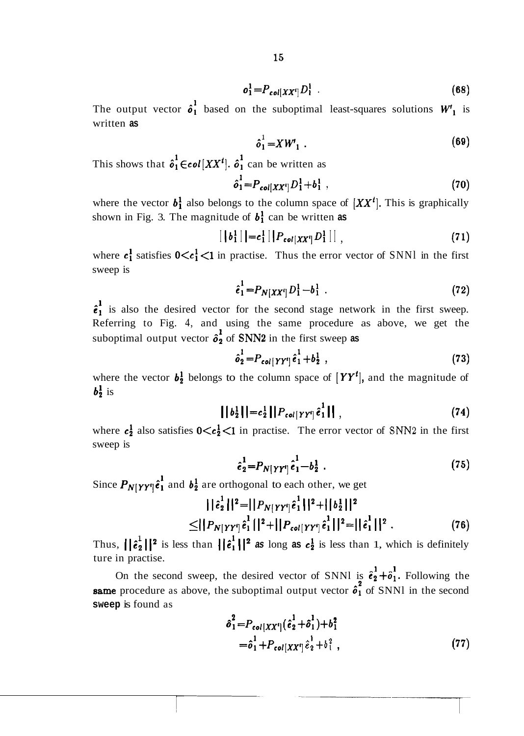$$
o_1^1 = P_{col}[XX']D_1^1 \t\t(68)
$$

The output vector  $\hat{\sigma}_1^1$  based on the suboptimal least-squares solutions  $W_1^1$  is written **as** 

$$
\hat{o}_1^1 = X W_1 \tag{69}
$$

This shows that  $\hat{\mathfrak{o}}_1^1 \in \text{col}[XX^t]$ .  $\hat{\mathfrak{o}}_1^1$  can be written as

$$
\hat{o}_1^1 = P_{col[XX^t]} D_1^1 + b_1^1 \t\t(70)
$$

where the vector  $b_1^1$  also belongs to the column space of  $[XX^t]$ . This is graphically shown in Fig. 3. The magnitude of  $b_1^1$  can be written as

$$
[|b_1^1||=c_1^1||P_{col[XX']}D_1^1|], \qquad (71)
$$

where  $c_1^1$  satisfies  $0 \lt c_1^1 \lt 1$  in practise. Thus the error vector of SNNl in the first sweep is

$$
\hat{e}_1^1 = P_{N[XX']} D_1^1 - b_1^1 \t . \t (72)
$$

 $\hat{\epsilon}_1^1$  is also the desired vector for the second stage network in the first sweep. Referring to Fig. 4, and using the same procedure as above, we get the suboptimal output vector  $\delta_2$  of SNN2 in the first sweep as

$$
\hat{o}_2^1 = P_{col[YY^i]} \hat{e}_1^1 + b_2^1 \t\t(73)
$$

where the vector  $b_2^1$  belongs to the column space of  $[YY^t]$ , and the magnitude of  $b_2^1$  is

$$
||b_2^1|| = c_2^1 ||P_{col[YY^i]} \hat{e}_1^1||,
$$
\n(74)

where  $c_2^1$  also satisfies  $0 \lt c_2^1 \lt 1$  in practise. The error vector of SNN2 in the first sweep is

$$
\hat{e}_2^1 = P_{N[YY^1]} \hat{e}_1^1 - b_2^1 \t\t(75)
$$

Since  $P_{N[YY^i]} \hat{e}_1^1$  and  $b_2^1$  are orthogonal to each other, we get

$$
||\hat{\epsilon}_2^1||^2 = ||P_{N[YY']}\hat{\epsilon}_1^1||^2 + ||b_2^1||^2
$$
  
\n
$$
\leq ||P_{N[YY']}\hat{\epsilon}_1^1||^2 + ||P_{col[YY']}\hat{\epsilon}_1^1||^2 = ||\hat{\epsilon}_1^1||^2.
$$
 (76)

Thus,  $\left|\left|\hat{e}_2^1\right|\right|^2$  is less than  $\left|\left|\hat{e}_1^1\right|\right|^2$  as long as  $e_2^1$  is less than 1, which is definitely ture in practise.

On the second sweep, the desired vector of SNNl is  $\hat{\epsilon}_2^1+\hat{\delta}_1^1$ . Following the **same** procedure as above, the suboptimal output vector  $\hat{\sigma}_1$  of SNNl in the second **sweep** is found as

$$
\hat{o}_1^2 = P_{col[XX^i]} (\hat{e}_2^1 + \hat{o}_1^1) + b_1^2
$$
  
=  $\hat{o}_1^1 + P_{col[XX^i]} \hat{e}_2^1 + b_1^2$ , (77)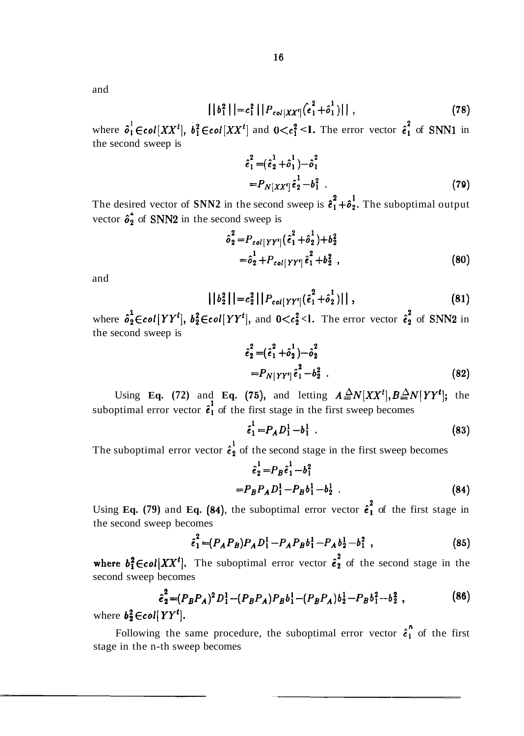and

$$
||b_1^2|| = c_1^2 ||P_{col|XX'|}(c_1^2 + \hat{o}_1^1)||,
$$
\n(78)

where  $\hat{\sigma}_1^1 \in \text{col}[XX^t], \ \hat{\sigma}_1^2 \in \text{col}[XX^t]$  and  $0 \lt c_1^2 \lt 1$ . The error vector  $\hat{\epsilon}_1^2$  of SNN1 in the second sweep is

$$
\hat{e}_1^2 = (\hat{e}_2^1 + \hat{o}_1^1) - \hat{o}_1^2
$$
  
=  $P_{N[XX^t]} \hat{e}_2^1 - \hat{o}_1^2$ . (79)

The desired vector of **SNN2** in the second sweep is  $\hat{\epsilon}_1^2 + \hat{\delta}_2^1$ . The suboptimal output vector  $\hat{\sigma}_2^2$  of **SNN2** in the second sweep is

$$
\hat{\sigma}_2^2 = P_{col[YY^i]} (\hat{e}_1^2 + \hat{\sigma}_2^1) + b_2^2
$$
  
=  $\hat{\sigma}_2^1 + P_{col[YY^i]} \hat{e}_1^2 + b_2^2$ , (80)

and

$$
||b_2^2|| = c_2^2 ||P_{col[YY^i]}(\hat{e}_1^2 + \hat{o}_2^1)||,
$$
\n(81)

where  $\hat{\sigma}_2^1 \in \text{col}[YY^t], b_2^2 \in \text{col}[YY^t], \text{ and } 0 \leq c_2^2 \leq l.$  The error vector  $\hat{\epsilon}_2^2$  of SNN2 in the second sweep is

$$
\hat{e}_2^2 = (\hat{e}_1^2 + \hat{o}_2^1) - \hat{o}_2^2
$$
  
=  $P_{N|YY'|} \hat{e}_1^2 - b_2^2$ . (82)

Using **Eq.** (72) and **Eq.** (75), and letting  $A \triangleq N[XX^t], B \triangleq N[YY^t];$  the suboptimal error vector  $\hat{\epsilon}_1$  of the first stage in the first sweep becomes

$$
\hat{e}_1^1 = P_A D_1^1 - b_1^1 \tag{83}
$$

The suboptimal error vector  $\hat{\epsilon}_2^1$  of the second stage in the first sweep becomes

$$
\hat{e}_2^1 = P_B \hat{e}_1^1 - b_1^2
$$
  
=  $P_B P_A D_1^1 - P_B b_1^1 - b_2^1$ . (84)

Using **Eq. (79)** and **Eq. (84)**, the suboptimal error vector  $\hat{\epsilon}_1^2$  of the first stage in the second sweep becomes

$$
\hat{e}_1^2 = (P_A P_B) P_A D_1^1 - P_A P_B b_1^1 - P_A b_2^1 - b_1^2 , \qquad (85)
$$

where  $b_1^2 \in col[XX^t]$ . The suboptimal error vector  $\hat{e}_2^2$  of the second stage in the second sweep becomes

$$
\hat{e}_2^2 = (P_B P_A)^2 D_1^1 - (P_B P_A) P_B b_1^1 - (P_B P_A) b_2^1 - P_B b_1^2 - b_2^2 ,
$$
\n
$$
[YY^t]. \tag{86}
$$

where  $b_2^2 \in col[YY^t]$ .

Following the same procedure, the suboptimal error vector  $\hat{\epsilon}_1^{\hat{n}}$  of the first stage in the n-th sweep becomes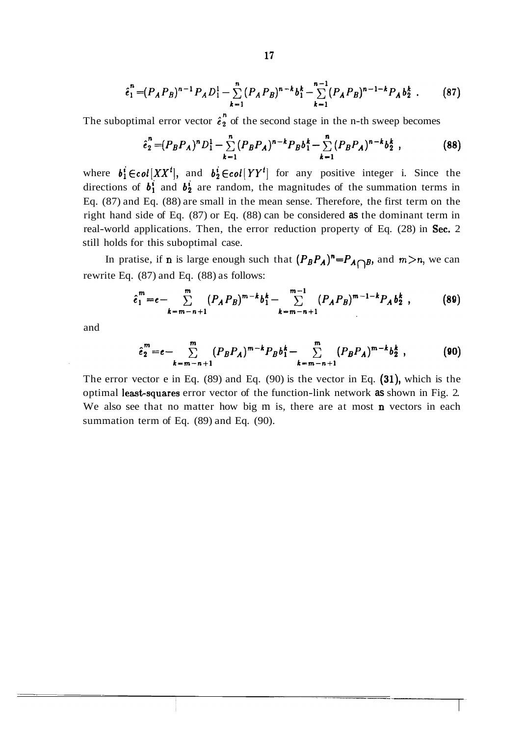$$
\hat{e}_1^n = (P_A P_B)^{n-1} P_A D_1^1 - \sum_{k=1}^n (P_A P_B)^{n-k} b_1^k - \sum_{k=1}^{n-1} (P_A P_B)^{n-1-k} P_A b_2^k . \tag{87}
$$

The suboptimal error vector  $\hat{e}_2^n$  of the second stage in the n-th sweep becomes

$$
\hat{e}_2^n = (P_B P_A)^n D_1^1 - \sum_{k=1}^n (P_B P_A)^{n-k} P_B b_1^k - \sum_{k=1}^n (P_B P_A)^{n-k} b_2^k,
$$
 (88)

where  $b_1^i \in col[XX^t]$ , and  $b_2^i \in col[YY^t]$  for any positive integer i. Since the directions of  $b_1^i$  and  $b_2^i$  are random, the magnitudes of the summation terms in Eq. (87) and Eq. (88) are small in the mean sense. Therefore, the first term on the right hand side of Eq. (87) or Eq. (88) can be considered **as** the dominant term in real-world applications. Then, the error reduction property of Eq. (28) in Sec. 2 still holds for this suboptimal case.

In pratise, if **n** is large enough such that  $(P_B P_A)^n = P_A \cap B$ , and  $m > n$ , we can rewrite Eq. (87) and Eq. (88) as follows:

$$
\hat{e}_1^m = e - \sum_{k=m-n+1}^m (P_A P_B)^{m-k} b_1^k - \sum_{k=m-n+1}^{m-1} (P_A P_B)^{m-1-k} P_A b_2^k,
$$
 (89)

and

$$
\hat{e}_2^m = e - \sum_{k=m-n+1}^m (P_B P_A)^{m-k} P_B b_1^k - \sum_{k=m-n+1}^m (P_B P_A)^{m-k} b_2^k,
$$
 (90)

The error vector e in Eq. (89) and Eq. (90) is the vector in Eq. (31), which is the optimal least-squares error vector of the function-link network as shown in Fig. 2. We also see that no matter how big m is, there are at most  $n$  vectors in each summation term of Eq. (89) and Eq. (90).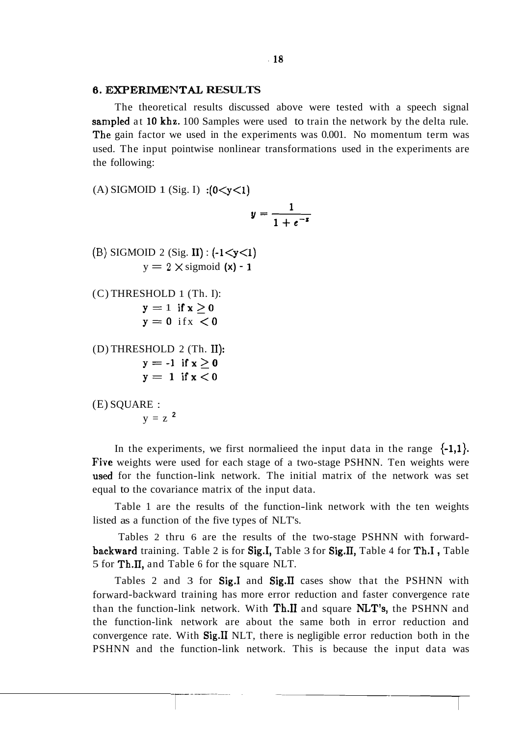#### **6. EXPERIMENTAL RESULTS**

The theoretical results discussed above were tested with a speech signal sampled at 10 khz. 100 Samples were used to train the network by the delta rule. The gain factor we used in the experiments was 0.001. No momentum term was used. The input pointwise nonlinear transformations used in the experiments are the following:

(A) SIGMOID 1 (Sig. I) : $(0 < y < 1)$  $y = \frac{1}{1 + e^{-x}}$ (B) SIGMOID 2 (Sig. II) :  $(-1 < y < 1)$  $y = 2 \times$  sigmoid  $(x) - 1$ (C) THRESHOLD 1 (Th. I):  $y=1$  if  $x>0$  $y=0$  if  $x < 0$ (D) THRESHOLD 2 (Th. 11):  $y=-1$  if  $x>0$  $y = 1$  if  $x < 0$ (E) SQUARE :  $y = z^2$ 

In the experiments, we first normalieed the input data in the range  $\{-1,1\}$ . Five weights were used for each stage of a two-stage PSHNN. Ten weights were used for the function-link network. The initial matrix of the network was set equal to the covariance matrix of the input data.

Table 1 are the results of the function-link network with the ten weights listed as a function of the five types of NLT's.

Tables 2 thru 6 are the results of the two-stage PSHNN with forwardbackward training. Table 2 is for Sig.I, Table 3 for Sig.II, Table 4 for Th.I, Table 5 for Th.II, and Table 6 for the square NLT.

Tables 2 and 3 for  $Sig.I$  and  $Sig.I$  cases show that the PSHNN with forward-backward training has more error reduction and faster convergence rate than the function-link network. With Th.11 and square NLT's, the PSHNN and the function-link network are about the same both in error reduction and convergence rate. With Sig.11 NLT, there is negligible error reduction both in the PSHNN and the function-link network. This is because the input data was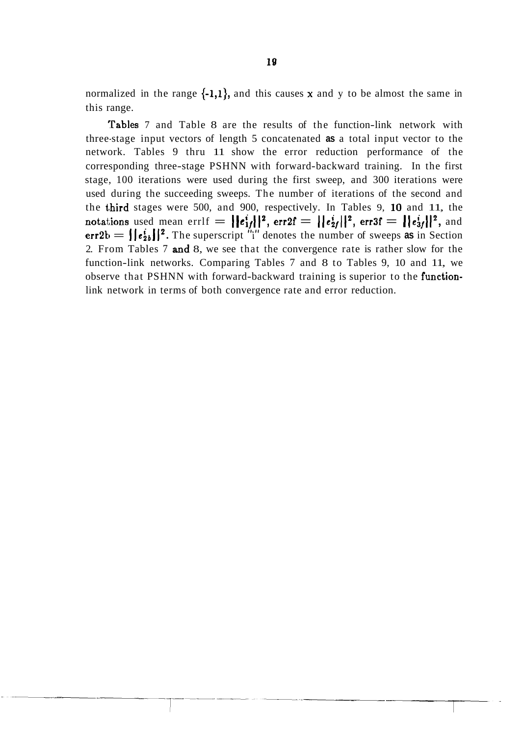normalized in the range  $\{-1,1\}$ , and this causes **x** and y to be almost the same in this range.

'Fables 7 and Table 8 are the results of the function-link network with three-stage input vectors of length 5 concatenated **as** a total input vector to the network. Tables 9 thru 11 show the error reduction performance of the corresponding three-stage PSHNN with forward-backward training. In the first stage, 100 iterations were used during the first sweep, and 300 iterations were used during the succeeding sweeps. The number of iterations of the second and the third stages were 500, and 900, respectively. In Tables 9, 10 and 11, the notations used mean errlf =  $||e_{1f}^i||^2$ , err2f =  $||e_{2f}^i||^2$ , err3f =  $||e_{3f}^i||^2$ , and err2b  $= \left| \left| e_{2b}^{i} \right| \right|^2$ . The superscript "i" denotes the number of sweeps as in Section 2. From Tables 7 and 8, we see that the convergence rate is rather slow for the function-link networks. Comparing Tables 7 and 8 to Tables 9, 10 and 11, we observe that PSHNN with forward-backward training is superior to the functionlink network in terms of both convergence rate and error reduction.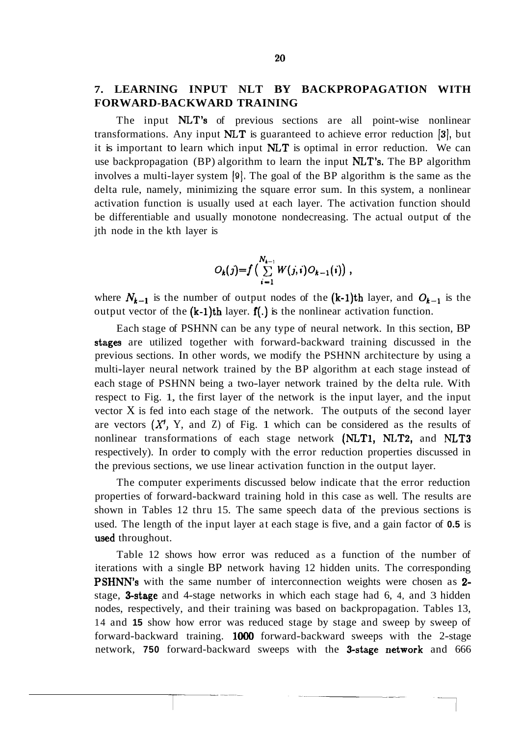### **7. LEARNING INPUT NLT BY BACKPROPAGATION WITH FORWARD-BACKWARD TRAINING**

The input NLT's of previous sections are all point-wise nonlinear transformations. Any input  $NLT$  is guaranteed to achieve error reduction [3], but it is important to learn which input NLT is optimal in error reduction. We can use backpropagation (BP) algorithm to learn the input NLT's. The BP algorithm involves a multi-layer system **(91.** The goal of the BP algorithm is the same as the delta rule, namely, minimizing the square error sum. In this system, a nonlinear activation function is usually used at each layer. The activation function should be differentiable and usually monotone nondecreasing. The actual output of the jth node in the kth layer is

$$
O_k(j)=f\left(\sum_{i=1}^{N_{k-1}}W(j,i)O_{k-1}(i)\right),
$$

where  $N_{k-1}$  is the number of output nodes of the  $(k-1)$ th layer, and  $O_{k-1}$  is the output vector of the  $(k-1)$ th layer.  $f(.)$  is the nonlinear activation function.

Each stage of PSHNN can be any type of neural network. In this section, BP stages are utilized together with forward-backward training discussed in the previous sections. In other words, we modify the PSHNN architecture by using a multi-layer neural network trained by the BP algorithm at each stage instead of each stage of PSHNN being a two-layer network trained by the delta rule. With respect to Fig. 1, the first layer of the network is the input layer, and the input vector X is fed into each stage of the network. The outputs of the second layer are vectors  $(X^1, Y, \text{ and } Z)$  of Fig. 1 which can be considered as the results of nonlinear transformations of each stage network (NLT1, NLT2, and NLT3 respectively). In order to comply with the error reduction properties discussed in the previous sections, we use linear activation function in the output layer.

The computer experiments discussed below indicate that the error reduction properties of forward-backward training hold in this case as well. The results are shown in Tables 12 thru 15. The same speech data of the previous sections is used. The length of the input layer at each stage is five, and a gain factor of **0.5** is used throughout.

Table 12 shows how error was reduced as a function of the number of iterations with a single BP network having 12 hidden units. The corresponding PSHNN's with the same number of interconnection weights were chosen as 2 stage, **3-stage** and 4-stage networks in which each stage had 6, 4, and 3 hidden nodes, respectively, and their training was based on backpropagation. Tables 13, 14 and **15** show how error was reduced stage by stage and sweep by sweep of forward-backward training. 1000 forward-backward sweeps with the 2-stage network, 750 forward-backward sweeps with the 3-stage network and 666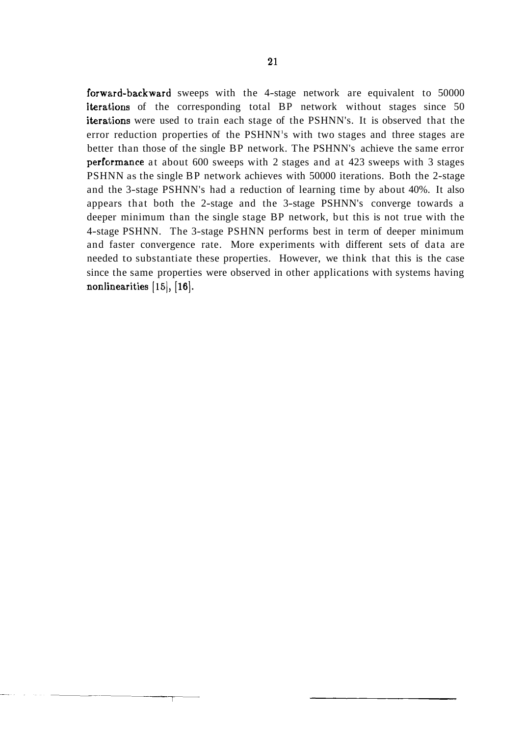forward-backward sweeps with the 4-stage network are equivalent to 50000 iterations of the corresponding total BP network without stages since 50 iterations were used to train each stage of the PSHNN's. It is observed that the error reduction properties of the PSHNN's with two stages and three stages are better than those of the single BP network. The PSHNN's achieve the same error performance at about 600 sweeps with 2 stages and at 423 sweeps with 3 stages PSHNN as the single BP network achieves with 50000 iterations. Both the 2-stage and the 3-stage PSHNN's had a reduction of learning time by about 40%. It also appears that both the 2-stage and the 3-stage PSHNN's converge towards a deeper minimum than the single stage BP network, but this is not true with the 4-stage PSHNN. The 3-stage PSHNN performs best in term of deeper minimum and faster convergence rate. More experiments with different sets of data are needed to substantiate these properties. However, we think that this is the case since the same properties were observed in other applications with systems having nonlinearities [15], [16].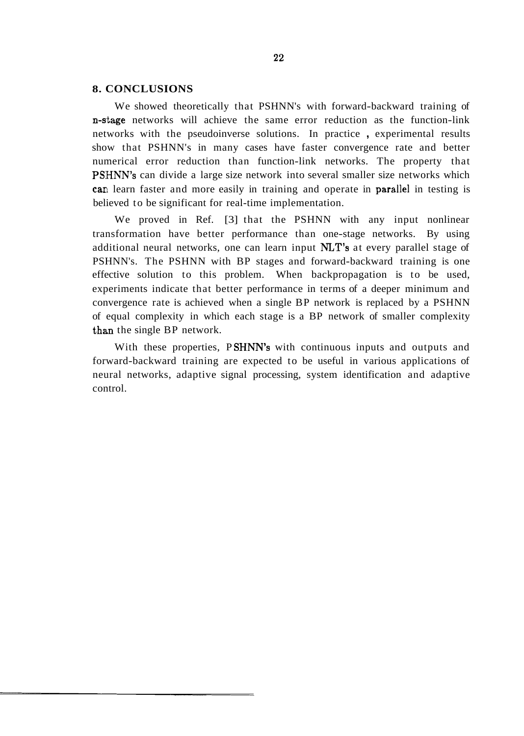#### **8. CONCLUSIONS**

We showed theoretically that PSHNN's with forward-backward training of n-stage networks will achieve the same error reduction as the function-link networks with the pseudoinverse solutions. In practice , experimental results show that PSHNN's in many cases have faster convergence rate and better numerical error reduction than function-link networks. The property that PSHNN's can divide a large size network into several smaller size networks which can learn faster and more easily in training and operate in parallel in testing is believed to be significant for real-time implementation.

We proved in Ref. [3] that the PSHNN with any input nonlinear transformation have better performance than one-stage networks. By using additional neural networks, one can learn input **NLT's** at every parallel stage of PSHNN's. The PSHNN with BP stages and forward-backward training is one effective solution to this problem. When backpropagation is to be used, experiments indicate that better performance in terms of a deeper minimum and convergence rate is achieved when a single BP network is replaced by a PSHNN of equal complexity in which each stage is a BP network of smaller complexity than the single BP network.

With these properties, PSHNN's with continuous inputs and outputs and forward-backward training are expected to be useful in various applications of neural networks, adaptive signal processing, system identification and adaptive control.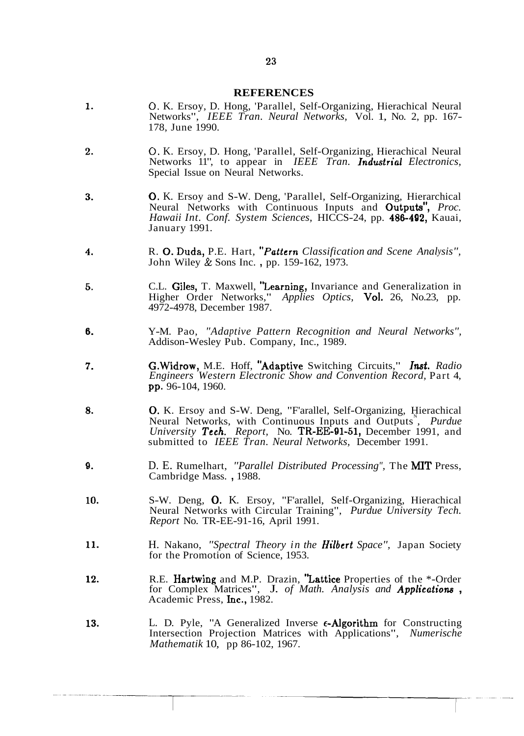#### **REFERENCES**

- $\mathbf{1}$ . **0.** K. Ersoy, D. Hong, 'Parallel, Self-Organizing, Hierachical Neural Networks", *IEEE Tran. Neural Networks,* Vol. 1, No. 2, pp. 167- 178, June 1990.
- **0.** K. Ersoy, D. Hong, 'Parallel, Self-Organizing, Hierachical Neural  $\overline{2}$ . Networks 11", to appear in *IEEE Tran. Industrial Electronics,*  Special Issue on Neural Networks.
- 3. 0. K. Ersoy and S-W. Deng, 'Parallel, Self-Organizing, Hierarchical Neural Networks with Continuous Inputs and Outputs", *Proc. Hawaii Int. Conf. System Sciences,* HICCS-24, pp. 486-492, Kauai, January 1991.
- 4. R. 0. Duda, P.E. Hart, *\*'Pattern Classification and Scene Analysis",* John Wiley & Sons Inc. , pp. 159-162, 1973.
- C.L. Giles, T. Maxwell, "Learning, Invariance and Generalization in 5. Higher Order Networks," *Applies Optics,* Vol. 26, No.23, pp. 4972-4978, December 1987.
- 6. Y-M. Pao, *"Adaptive Pattern Recognition and Neural Networks",* Addison-Wesley Pub. Company, Inc., 1989.
- G.Widrow, M.E. Hoff, "Adaptive Switching Circuits," *Imt. Radio*  7. *Engineers Western Electronic Show and Convention Record,* Part 4, pp. 96-104, 1960.
- 8. 0. K. Ersoy and S-W. Deng, "F'arallel, Self-Organizing, Hierachical Neural Networks, with Continuous Inputs and Outputs<sup>N</sup>, Purdue *University Tech. Report,* No. TR-EE-91-51, December 1991, and submitted to *IEEE Tran. Neural Networks,* December 1991.
- 9. D. E. Rumelhart, *"Parallel Distributed Processing",* The **MIT** Press, Cambridge Mass. , 1988.
- S-W. Deng, 0. K. Ersoy, "F'arallel, Self-Organizing, Hierachical 10. Neural Networks with Circular Training", *Purdue University Tech. Report* No. TR-EE-91-16, April 1991.
- 11. H. Nakano, *"Spectral Theory in the Hilbert Space",* Japan Society for the Promotion of Science, 1953.
- 12. R.E. Hartwing and M.P. Drazin, "Lattice Properties of the \*-Order for Complex Matrices", J. *of Math. Analysis and Applicatiom* , Academic Press, Inc., 1982.
- 13. L. D. Pyle, "A Generalized Inverse  $\epsilon$ -Algorithm for Constructing Intersection Projection Matrices with Applications", *Numerische Mathematik* 10, pp 86-102, 1967.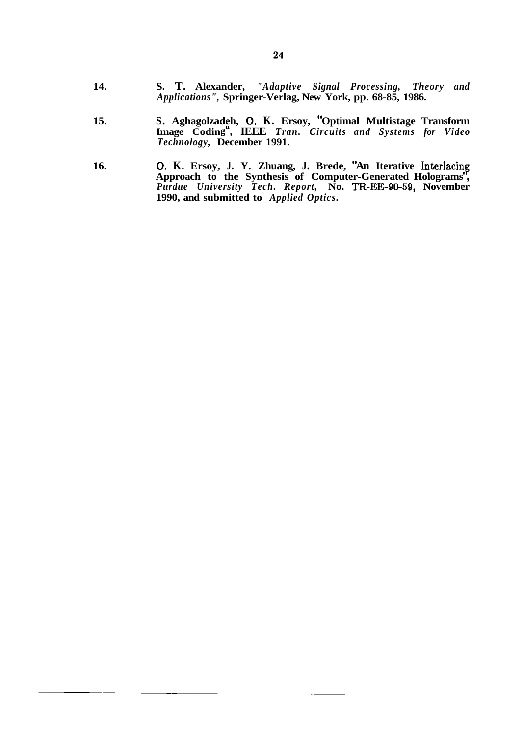- **14. S. T. Alexander,** *"Adaptive Signal Processing, Theory and Applications",* **Springer-Verlag, New York, pp. 68-85, 1986.**
- 15. **8. Aghagolzadeh, O. K. Ersoy, "Optimal Multistage Transform** Image Coding<sup>"</sup>, IEEE *Tran. Circuits and Systems for Video Technology,* **December 1991.**
- 16. **b 16. D. K. Ersoy, J. Y. Zhuang, J. Brede, "An Iterative Interlacing Approach to the Synthesis of Computer-Generated Holograms** , *Purdue University Tech. Report,* **No. TR-EE-90-59, November 1990, and submitted to** *Applied Optics.*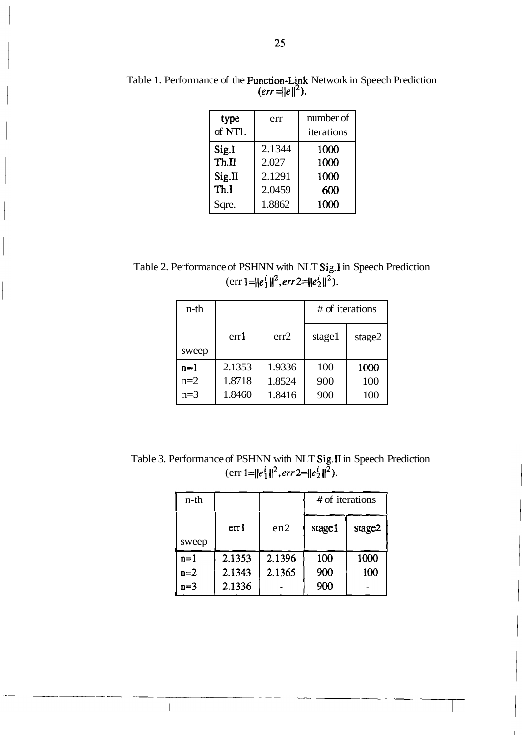| type<br>of NTL | err    | number of<br>iterations |
|----------------|--------|-------------------------|
| Sig.I          | 2.1344 | 1000                    |
| Th.H           | 2.027  | 1000                    |
| Sig.II         | 2.1291 | 1000                    |
| Th.I           | 2.0459 | 600                     |
| Sqre.          | 1.8862 | 1000                    |

Table 1. Performance of the Function-Link Network in Speech Prediction  $\text{err} = \|e\|^2$ .

Table 2. Performance of PSHNN with NLT Sig.1 in Speech Prediction  $(\text{err } 1 = ||e_1||^2, \text{err } 2 = ||e_2||^2)$ 

| n-th  |        |        | # of iterations |        |
|-------|--------|--------|-----------------|--------|
|       | err1   | err2   | stage1          | stage2 |
| sweep |        |        |                 |        |
| $n=1$ | 2.1353 | 1.9336 | 100             | 1000   |
| $n=2$ | 1.8718 | 1.8524 | 900             | 100    |
| $n=3$ | 1.8460 | 1.8416 | 900             | 100    |

Table 3. Performance of PSHNN with NLT Sig.II in Speech Prediction (err  $1 = ||e_1||^2$ , err  $2 = ||e_2||^2$ ).

| n-th  |        |        | $#$ of iterations |        |
|-------|--------|--------|-------------------|--------|
|       | err1   | en2    | stage1            | stage2 |
| sweep |        |        |                   |        |
| $n=1$ | 2.1353 | 2.1396 | 100               | 1000   |
| $n=2$ | 2.1343 | 2.1365 | 900               | 100    |
| $n=3$ | 2.1336 |        | 900               |        |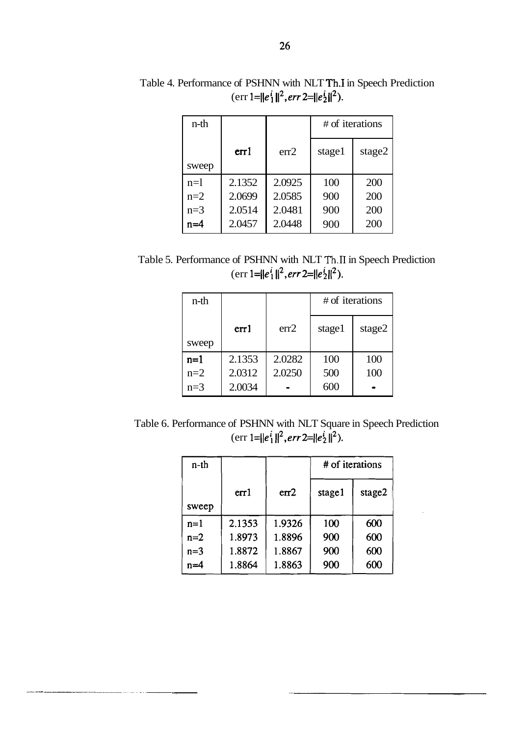| n-th  |        |        | # of iterations |        |
|-------|--------|--------|-----------------|--------|
|       | err1   | err2   | stage1          | stage2 |
| sweep |        |        |                 |        |
| $n=1$ | 2.1352 | 2.0925 | 100             | 200    |
| $n=2$ | 2.0699 | 2.0585 | 900             | 200    |
| $n=3$ | 2.0514 | 2.0481 | 900             | 200    |
| $n=4$ | 2.0457 | 2.0448 | 900             | 200    |

Table 4. Performance of PSHNN with NLT Th.1 in Speech Prediction  $(\text{err } 1 = ||e_1'||^2, err \, 2 = ||e_2'||^2).$ 

Table 5. Performance of PSHNN with NLT Th.II in Speech Prediction  $(\text{err } 1 = ||e_1'||^2, err \cdot 2 = ||e_2'||^2).$ 

| n-th  |        |        | # of iterations |        |
|-------|--------|--------|-----------------|--------|
|       | err1   | err2   | stage1          | stage2 |
| sweep |        |        |                 |        |
| $n=1$ | 2.1353 | 2.0282 | 100             | 100    |
| $n=2$ | 2.0312 | 2.0250 | 500             | 100    |
| $n=3$ | 2.0034 |        | 600             |        |

Table 6. Performance of PSHNN with NLT Square in Speech Prediction (err  $1=||e_1'||^2$ , err  $2=||e_2'||^2$ ).

| $n-th$ |        |        | # of iterations |        |
|--------|--------|--------|-----------------|--------|
|        | err1   | err2   | stage1          | stage2 |
| sweep  |        |        |                 |        |
| $n=1$  | 2.1353 | 1.9326 | 100             | 600    |
| $n=2$  | 1.8973 | 1.8896 | 900             | 600    |
| $n=3$  | 1.8872 | 1.8867 | 900             | 600    |
| $n=4$  | 1.8864 | 1.8863 | 900             | 600    |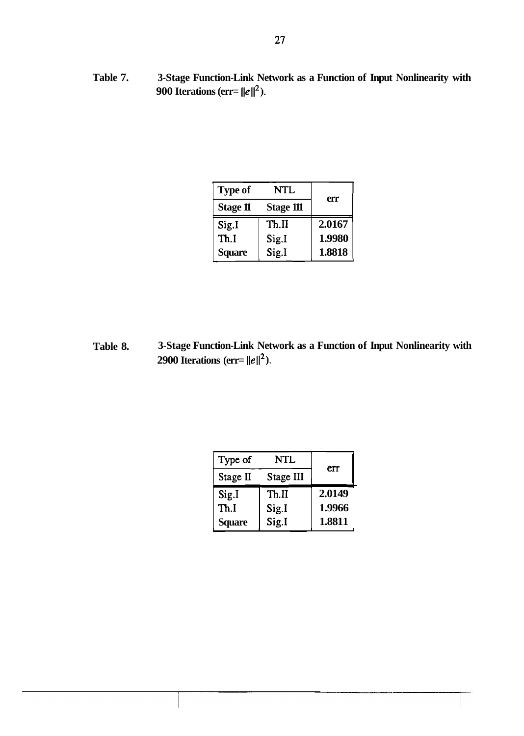**Table 7. 3-Stage Function-Link Network as a Function of Input Nonlinearity with 900 Iterations (err=**  $||e||^2$ **).** 

| <b>Type of</b>  | NTL       | err    |
|-----------------|-----------|--------|
| <b>Stage 11</b> | Stage 111 |        |
| Sig.I           | Th.II     | 2.0167 |
| Th.I            | Sig.I     | 1.9980 |
| <b>Square</b>   | Sig.I     | 1.8818 |

**Table 8. 3-Stage Function-Link Network as a Function of Input Nonlinearity with 2900 Iterations (err=**  $||e||^2$ **).** 

| ons (err= $  e  ^2$ ). | ction-Link Network as a Function of Input |        |  |
|------------------------|-------------------------------------------|--------|--|
| Type of                | NTL                                       | err    |  |
| Stage II               | Stage III                                 |        |  |
| Sig.I                  | Th.II                                     | 2.0149 |  |
| Th.I                   | Sig.I                                     | 1.9966 |  |
| Square                 | Sig.I                                     | 1.8811 |  |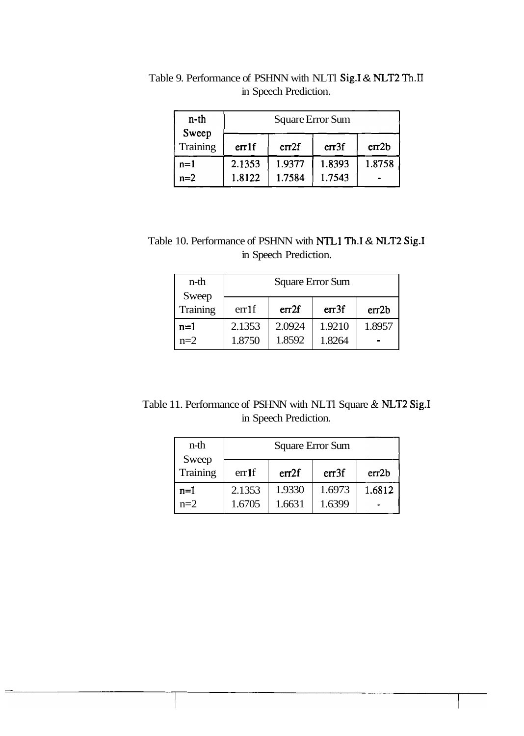| n-th                     | Square Error Sum |                  |                  |        |
|--------------------------|------------------|------------------|------------------|--------|
| Sweep<br><b>Training</b> | er1f             | erf2f            | erf3f            | err2b  |
| $n=1$<br>$n=2$           | 2.1353<br>1.8122 | 1.9377<br>1.7584 | 1.8393<br>1.7543 | 1.8758 |
|                          |                  |                  |                  |        |

Table 9. Performance of PSHNN with NLTl Sig.1 & NLT2 Th.II in Speech Prediction.

Table 10. Performance of PSHNN with NTLl Th.1 & NLT2 Sig.1 in Speech Prediction.

| n-th<br>Sweep   | Square Error Sum |        |        |        |
|-----------------|------------------|--------|--------|--------|
| <b>Training</b> | err1f            | err2f  | err3f  | err2b  |
| $n=1$           | 2.1353           | 2.0924 | 1.9210 | 1.8957 |
| $n=2$           | 1.8750           | 1.8592 | 1.8264 |        |

Table 11. Performance of PSHNN with NLTl Square & NLT2 Sig.I in Speech Prediction.

| n-th              | Square Error Sum |        |                  |        |
|-------------------|------------------|--------|------------------|--------|
| Sweep<br>Training | err1f            | err2f  | er <sub>3f</sub> | err2b  |
| $n=1$             | 2.1353           | 1.9330 | 1.6973           | 1.6812 |
| $n=2$             | 1.6705           | 1.6631 | 1.6399           |        |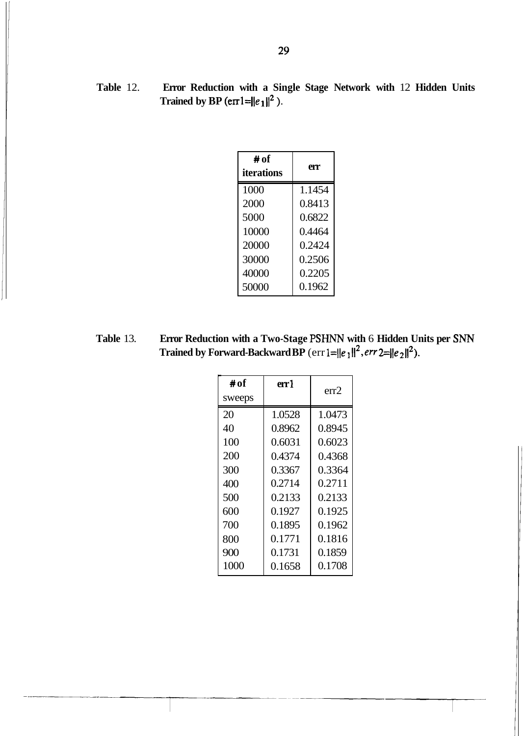**Table** 12. **Error Reduction with a Single Stage Network with** 12 **Hidden Units**  Trained by BP  $(\text{er}1 = ||e_1||^2)$ .

| # of<br>iterations | err    |
|--------------------|--------|
| 1000               | 1.1454 |
| 2000               | 0.8413 |
| 5000               | 0.6822 |
| 10000              | 0.4464 |
| 20000              | 0.2424 |
| 30000              | 0.2506 |
| 40000              | 0.2205 |
| 50000              | 0.1962 |

**Table** 13. **Error Reduction with a Two-Stage PSHNN with** 6 **Hidden Units per SNN Trained by Forward-Backward BP** (err  $1 = ||e_1||^2$ , err  $2 = ||e_2||^2$ ).

| # of   | err l  | err2   |
|--------|--------|--------|
| sweeps |        |        |
| 20     | 1.0528 | 1.0473 |
| 40     | 0.8962 | 0.8945 |
| 100    | 0.6031 | 0.6023 |
| 200    | 0.4374 | 0.4368 |
| 300    | 0.3367 | 0.3364 |
| 400    | 0.2714 | 0.2711 |
| 500    | 0.2133 | 0.2133 |
| 600    | 0.1927 | 0.1925 |
| 700    | 0.1895 | 0.1962 |
| 800    | 0.1771 | 0.1816 |
| 900    | 0.1731 | 0.1859 |
| 1000   | 0.1658 | 0.1708 |
|        |        |        |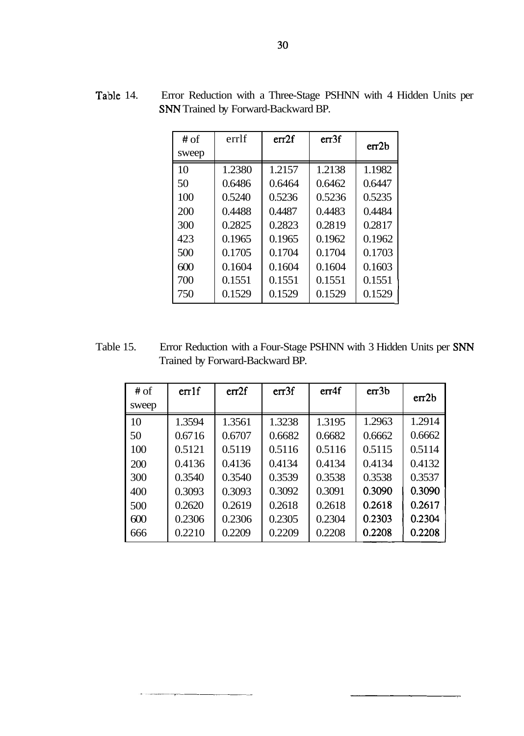| Table 14. | Error Reduction with a Three-Stage PSHNN with 4 Hidden Units per |
|-----------|------------------------------------------------------------------|
|           | <b>SNN</b> Trained by Forward-Backward BP.                       |

| # of  | errlf  | err2f  | err3f  | er <sub>2b</sub> |
|-------|--------|--------|--------|------------------|
| sweep |        |        |        |                  |
| 10    | 1.2380 | 1.2157 | 1.2138 | 1.1982           |
| 50    | 0.6486 | 0.6464 | 0.6462 | 0.6447           |
| 100   | 0.5240 | 0.5236 | 0.5236 | 0.5235           |
| 200   | 0.4488 | 0.4487 | 0.4483 | 0.4484           |
| 300   | 0.2825 | 0.2823 | 0.2819 | 0.2817           |
| 423   | 0.1965 | 0.1965 | 0.1962 | 0.1962           |
| 500   | 0.1705 | 0.1704 | 0.1704 | 0.1703           |
| 600   | 0.1604 | 0.1604 | 0.1604 | 0.1603           |
| 700   | 0.1551 | 0.1551 | 0.1551 | 0.1551           |
| 750   | 0.1529 | 0.1529 | 0.1529 | 0.1529           |

Table 15. Error Reduction with a Four-Stage PSHNN with 3 Hidden Units per SNN Trained by Forward-Backward BP.

| # of  | er1f   | err2f  | er <sub>3f</sub> | err4f  | er <sub>3b</sub> | er <sub>2b</sub> |
|-------|--------|--------|------------------|--------|------------------|------------------|
| sweep |        |        |                  |        |                  |                  |
| 10    | 1.3594 | 1.3561 | 1.3238           | 1.3195 | 1.2963           | 1.2914           |
| 50    | 0.6716 | 0.6707 | 0.6682           | 0.6682 | 0.6662           | 0.6662           |
| 100   | 0.5121 | 0.5119 | 0.5116           | 0.5116 | 0.5115           | 0.5114           |
| 200   | 0.4136 | 0.4136 | 0.4134           | 0.4134 | 0.4134           | 0.4132           |
| 300   | 0.3540 | 0.3540 | 0.3539           | 0.3538 | 0.3538           | 0.3537           |
| 400   | 0.3093 | 0.3093 | 0.3092           | 0.3091 | 0.3090           | 0.3090           |
| 500   | 0.2620 | 0.2619 | 0.2618           | 0.2618 | 0.2618           | 0.2617           |
| 600   | 0.2306 | 0.2306 | 0.2305           | 0.2304 | 0.2303           | 0.2304           |
| 666   | 0.2210 | 0.2209 | 0.2209           | 0.2208 | 0.2208           | 0.2208           |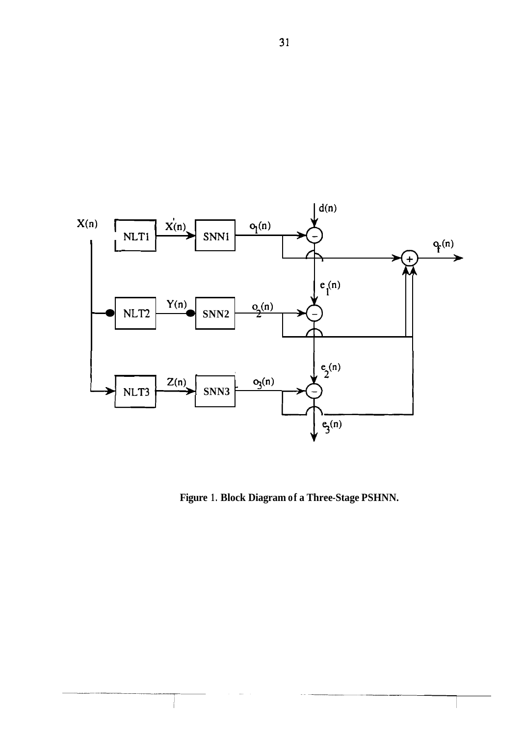

**Figure 1. Block Diagram of a Three-Stage PSHNN.**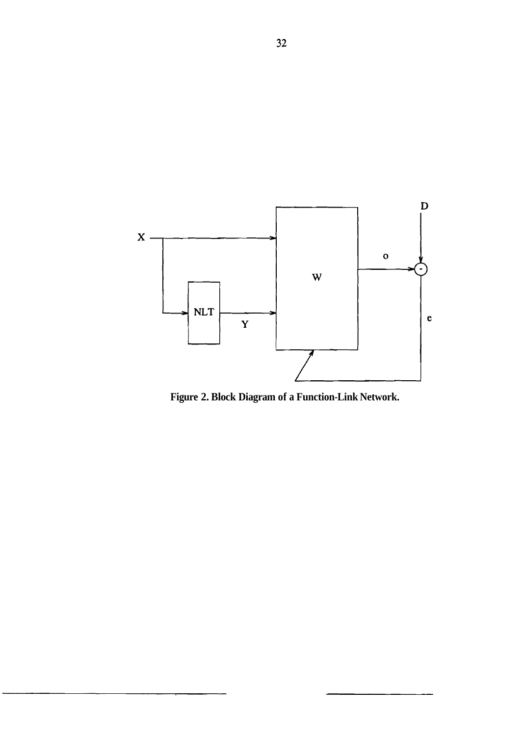

**Figure 2. Block Diagram of a Function-Link Network.**